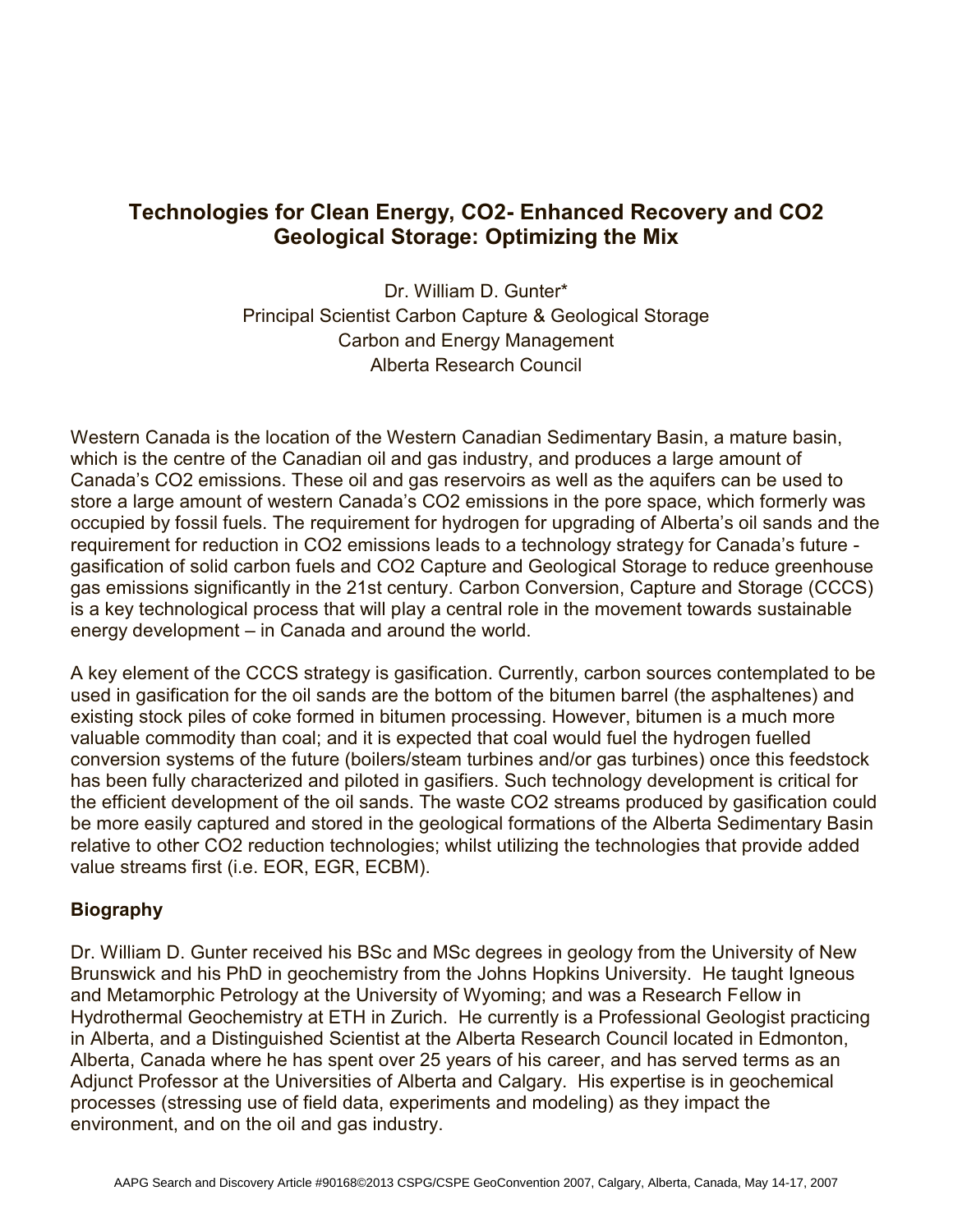## **Technologies for Clean Energy, CO2- Enhanced Recovery and CO2 Geological Storage: Optimizing the Mix**

Dr. William D. Gunter\* Principal Scientist Carbon Capture & Geological Storage Carbon and Energy Management Alberta Research Council

Western Canada is the location of the Western Canadian Sedimentary Basin, a mature basin, which is the centre of the Canadian oil and gas industry, and produces a large amount of Canada's CO2 emissions. These oil and gas reservoirs as well as the aquifers can be used to store a large amount of western Canada's CO2 emissions in the pore space, which formerly was occupied by fossil fuels. The requirement for hydrogen for upgrading of Alberta's oil sands and the requirement for reduction in CO2 emissions leads to a technology strategy for Canada's future gasification of solid carbon fuels and CO2 Capture and Geological Storage to reduce greenhouse gas emissions significantly in the 21st century. Carbon Conversion, Capture and Storage (CCCS) is a key technological process that will play a central role in the movement towards sustainable energy development – in Canada and around the world.

A key element of the CCCS strategy is gasification. Currently, carbon sources contemplated to be used in gasification for the oil sands are the bottom of the bitumen barrel (the asphaltenes) and existing stock piles of coke formed in bitumen processing. However, bitumen is a much more valuable commodity than coal; and it is expected that coal would fuel the hydrogen fuelled conversion systems of the future (boilers/steam turbines and/or gas turbines) once this feedstock has been fully characterized and piloted in gasifiers. Such technology development is critical for the efficient development of the oil sands. The waste CO2 streams produced by gasification could be more easily captured and stored in the geological formations of the Alberta Sedimentary Basin relative to other CO2 reduction technologies; whilst utilizing the technologies that provide added value streams first (i.e. EOR, EGR, ECBM).

## **Biography**

Dr. William D. Gunter received his BSc and MSc degrees in geology from the University of New Brunswick and his PhD in geochemistry from the Johns Hopkins University. He taught Igneous and Metamorphic Petrology at the University of Wyoming; and was a Research Fellow in Hydrothermal Geochemistry at ETH in Zurich. He currently is a Professional Geologist practicing in Alberta, and a Distinguished Scientist at the Alberta Research Council located in Edmonton, Alberta, Canada where he has spent over 25 years of his career, and has served terms as an Adjunct Professor at the Universities of Alberta and Calgary. His expertise is in geochemical processes (stressing use of field data, experiments and modeling) as they impact the environment, and on the oil and gas industry.